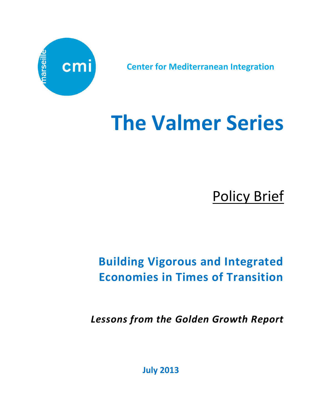

**Center for Mediterranean Integration**

# **The Valmer Series**

Policy Brief

## **Building Vigorous and Integrated Economies in Times of Transition**

*Lessons from the Golden Growth Report*

**July 2013**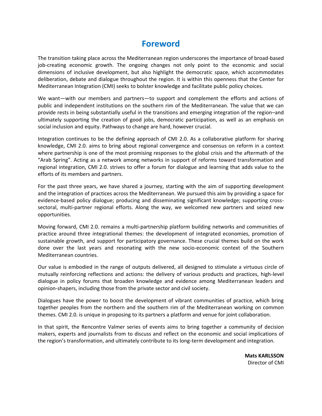## **Foreword**

The transition taking place across the Mediterranean region underscores the importance of broad-based job-creating economic growth. The ongoing changes not only point to the economic and social dimensions of inclusive development, but also highlight the democratic space, which accommodates deliberation, debate and dialogue throughout the region. It is within this openness that the Center for Mediterranean Integration (CMI) seeks to bolster knowledge and facilitate public policy choices.

We want—with our members and partners—to support and complement the efforts and actions of public and independent institutions on the southern rim of the Mediterranean. The value that we can provide rests in being substantially useful in the transitions and emerging integration of the region–and ultimately supporting the creation of good jobs, democratic participation, as well as an emphasis on social inclusion and equity. Pathways to change are hard, however crucial.

Integration continues to be the defining approach of CMI 2.0. As a collaborative platform for sharing knowledge, CMI 2.0. aims to bring about regional convergence and consensus on reform in a context where partnership is one of the most promising responses to the global crisis and the aftermath of the "Arab Spring". Acting as a network among networks in support of reforms toward transformation and regional integration, CMI 2.0. strives to offer a forum for dialogue and learning that adds value to the efforts of its members and partners.

For the past three years, we have shared a journey, starting with the aim of supporting development and the integration of practices across the Mediterranean. We pursued this aim by providing a space for evidence-based policy dialogue; producing and disseminating significant knowledge; supporting crosssectoral, multi-partner regional efforts. Along the way, we welcomed new partners and seized new opportunities.

Moving forward, CMI 2.0. remains a multi-partnership platform building networks and communities of practice around three integrational themes: the development of integrated economies, promotion of sustainable growth, and support for participatory governance. These crucial themes build on the work done over the last years and resonating with the new socio-economic context of the Southern Mediterranean countries.

Our value is embodied in the range of outputs delivered, all designed to stimulate a virtuous circle of mutually reinforcing reflections and actions: the delivery of various products and practices, high-level dialogue in policy forums that broaden knowledge and evidence among Mediterranean leaders and opinion-shapers, including those from the private sector and civil society.

Dialogues have the power to boost the development of vibrant communities of practice, which bring together peoples from the northern and the southern rim of the Mediterranean working on common themes. CMI 2.0. is unique in proposing to its partners a platform and venue for joint collaboration.

In that spirit, the Rencontre Valmer series of events aims to bring together a community of decision makers, experts and journalists from to discuss and reflect on the economic and social implications of the region's transformation, and ultimately contribute to its long-term development and integration.

> **Mats KARLSSON** Director of CMI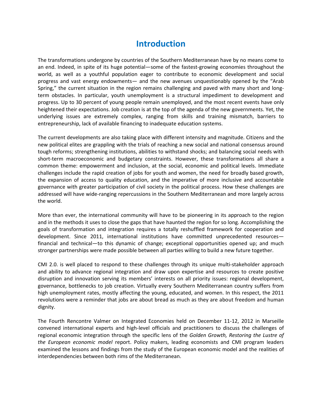## **Introduction**

The transformations undergone by countries of the Southern Mediterranean have by no means come to an end. Indeed, in spite of its huge potential—some of the fastest-growing economies throughout the world, as well as a youthful population eager to contribute to economic development and social progress and vast energy endowments— and the new avenues unquestionably opened by the "Arab Spring," the current situation in the region remains challenging and paved with many short and longterm obstacles. In particular, youth unemployment is a structural impediment to development and progress. Up to 30 percent of young people remain unemployed, and the most recent events have only heightened their expectations. Job creation is at the top of the agenda of the new governments. Yet, the underlying issues are extremely complex, ranging from skills and training mismatch, barriers to entrepreneurship, lack of available financing to inadequate education systems.

The current developments are also taking place with different intensity and magnitude. Citizens and the new political elites are grappling with the trials of reaching a new social and national consensus around tough reforms; strengthening institutions, abilities to withstand shocks; and balancing social needs with short-term macroeconomic and budgetary constraints. However, these transformations all share a common theme: empowerment and inclusion, at the social, economic and political levels. Immediate challenges include the rapid creation of jobs for youth and women, the need for broadly based growth, the expansion of access to quality education, and the imperative of more inclusive and accountable governance with greater participation of civil society in the political process. How these challenges are addressed will have wide-ranging repercussions in the Southern Mediterranean and more largely across the world.

More than ever, the international community will have to be pioneering in its approach to the region and in the methods it uses to close the gaps that have haunted the region for so long. Accomplishing the goals of transformation and integration requires a totally reshuffled framework for cooperation and development. Since 2011, international institutions have committed unprecedented resources financial and technical—to this dynamic of change; exceptional opportunities opened up; and much stronger partnerships were made possible between all parties willing to build a new future together.

CMI 2.0. is well placed to respond to these challenges through its unique multi-stakeholder approach and ability to advance regional integration and draw upon expertise and resources to create positive disruption and innovation serving its members' interests on all priority issues: regional development, governance, bottlenecks to job creation. Virtually every Southern Mediterranean country suffers from high unemployment rates, mostly affecting the young, educated, and women. In this respect, the 2011 revolutions were a reminder that jobs are about bread as much as they are about freedom and human dignity.

The Fourth Rencontre Valmer on Integrated Economies held on December 11-12, 2012 in Marseille convened international experts and high-level officials and practitioners to discuss the challenges of regional economic integration through the specific lens of the *Golden Growth, Restoring the Lustre of the European economic model* report. Policy makers, leading economists and CMI program leaders examined the lessons and findings from the study of the European economic model and the realities of interdependencies between both rims of the Mediterranean.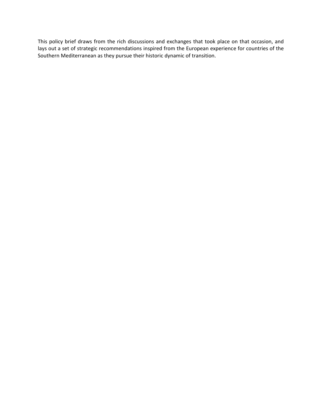This policy brief draws from the rich discussions and exchanges that took place on that occasion, and lays out a set of strategic recommendations inspired from the European experience for countries of the Southern Mediterranean as they pursue their historic dynamic of transition.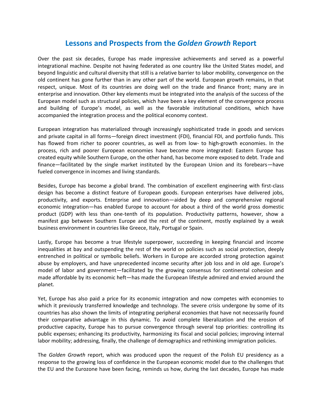## **Lessons and Prospects from the** *Golden Growth* **Report**

Over the past six decades, Europe has made impressive achievements and served as a powerful integrational machine. Despite not having federated as one country like the United States model, and beyond linguistic and cultural diversity that still is a relative barrier to labor mobility, convergence on the old continent has gone further than in any other part of the world. European growth remains, in that respect, unique. Most of its countries are doing well on the trade and finance front; many are in enterprise and innovation. Other key elements must be integrated into the analysis of the success of the European model such as structural policies, which have been a key element of the convergence process and building of Europe's model, as well as the favorable institutional conditions, which have accompanied the integration process and the political economy context.

European integration has materialized through increasingly sophisticated trade in goods and services and private capital in all forms—foreign direct investment (FDI), financial FDI, and portfolio funds. This has flowed from richer to poorer countries, as well as from low- to high-growth economies. In the process, rich and poorer European economies have become more integrated: Eastern Europe has created equity while Southern Europe, on the other hand, has become more exposed to debt. Trade and finance—facilitated by the single market instituted by the European Union and its forebears—have fueled convergence in incomes and living standards.

Besides, Europe has become a global brand. The combination of excellent engineering with first-class design has become a distinct feature of European goods. European enterprises have delivered jobs, productivity, and exports. Enterprise and innovation—aided by deep and comprehensive regional economic integration—has enabled Europe to account for about a third of the world gross domestic product (GDP) with less than one-tenth of its population. Productivity patterns, however, show a manifest gap between Southern Europe and the rest of the continent, mostly explained by a weak business environment in countries like Greece, Italy, Portugal or Spain.

Lastly, Europe has become a true lifestyle superpower, succeeding in keeping financial and income inequalities at bay and outspending the rest of the world on policies such as social protection, deeply entrenched in political or symbolic beliefs. Workers in Europe are accorded strong protection against abuse by employers, and have unprecedented income security after job loss and in old age. Europe's model of labor and government—facilitated by the growing consensus for continental cohesion and made affordable by its economic heft—has made the European lifestyle admired and envied around the planet.

Yet, Europe has also paid a price for its economic integration and now competes with economies to which it previously transferred knowledge and technology. The severe crisis undergone by some of its countries has also shown the limits of integrating peripheral economies that have not necessarily found their comparative advantage in this dynamic. To avoid complete liberalization and the erosion of productive capacity, Europe has to pursue convergence through several top priorities: controlling its public expenses; enhancing its productivity, harmonizing its fiscal and social policies; improving internal labor mobility; addressing, finally, the challenge of demographics and rethinking immigration policies.

The *Golden Growth* report, which was produced upon the request of the Polish EU presidency as a response to the growing loss of confidence in the European economic model due to the challenges that the EU and the Eurozone have been facing, reminds us how, during the last decades, Europe has made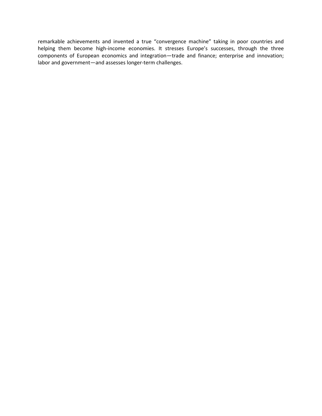remarkable achievements and invented a true "convergence machine" taking in poor countries and helping them become high-income economies. It stresses Europe's successes, through the three components of European economics and integration—trade and finance; enterprise and innovation; labor and government—and assesses longer-term challenges.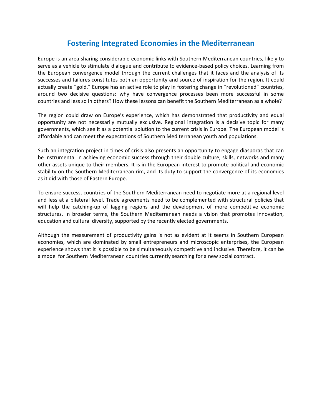## **Fostering Integrated Economies in the Mediterranean**

Europe is an area sharing considerable economic links with Southern Mediterranean countries, likely to serve as a vehicle to stimulate dialogue and contribute to evidence-based policy choices. Learning from the European convergence model through the current challenges that it faces and the analysis of its successes and failures constitutes both an opportunity and source of inspiration for the region. It could actually create "gold." Europe has an active role to play in fostering change in "revolutioned" countries, around two decisive questions: why have convergence processes been more successful in some countries and less so in others? How these lessons can benefit the Southern Mediterranean as a whole?

The region could draw on Europe's experience, which has demonstrated that productivity and equal opportunity are not necessarily mutually exclusive. Regional integration is a decisive topic for many governments, which see it as a potential solution to the current crisis in Europe. The European model is affordable and can meet the expectations of Southern Mediterranean youth and populations.

Such an integration project in times of crisis also presents an opportunity to engage diasporas that can be instrumental in achieving economic success through their double culture, skills, networks and many other assets unique to their members. It is in the European interest to promote political and economic stability on the Southern Mediterranean rim, and its duty to support the convergence of its economies as it did with those of Eastern Europe.

To ensure success, countries of the Southern Mediterranean need to negotiate more at a regional level and less at a bilateral level. Trade agreements need to be complemented with structural policies that will help the catching-up of lagging regions and the development of more competitive economic structures. In broader terms, the Southern Mediterranean needs a vision that promotes innovation, education and cultural diversity, supported by the recently elected governments.

Although the measurement of productivity gains is not as evident at it seems in Southern European economies, which are dominated by small entrepreneurs and microscopic enterprises, the European experience shows that it is possible to be simultaneously competitive and inclusive. Therefore, it can be a model for Southern Mediterranean countries currently searching for a new social contract.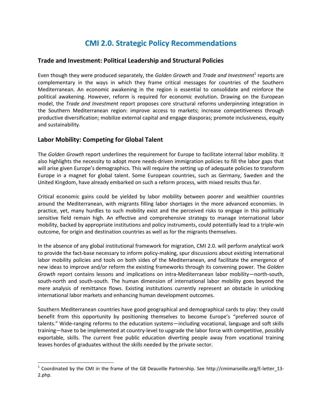## **CMI 2.0. Strategic Policy Recommendations**

#### **Trade and Investment: Political Leadership and Structural Policies**

Even though they were produced separately, the *Golden Growth* and *Trade and Investment*<sup>1</sup> reports are complementary in the ways in which they frame critical messages for countries of the Southern Mediterranean. An economic awakening in the region is essential to consolidate and reinforce the political awakening. However, reform is required for economic evolution. Drawing on the European model, the *Trade and Investment* report proposes core structural reforms underpinning integration in the Southern Mediterranean region: improve access to markets; increase competitiveness through productive diversification; mobilize external capital and engage diasporas; promote inclusiveness, equity and sustainability.

#### **Labor Mobility: Competing for Global Talent**

 $\overline{\phantom{a}}$ 

The *Golden Growth* report underlines the requirement for Europe to facilitate internal labor mobility. It also highlights the necessity to adopt more needs-driven immigration policies to fill the labor gaps that will arise given Europe's demographics. This will require the setting up of adequate policies to transform Europe in a magnet for global talent. Some European countries, such as Germany, Sweden and the United Kingdom, have already embarked on such a reform process, with mixed results thus far.

Critical economic gains could be yielded by labor mobility between poorer and wealthier countries around the Mediterranean, with migrants filling labor shortages in the more advanced economies. In practice, yet, many hurdles to such mobility exist and the perceived risks to engage in this politically sensitive field remain high. An effective and comprehensive strategy to manage international labor mobility, backed by appropriate institutions and policy instruments, could potentially lead to a triple-win outcome, for origin and destination countries as well as for the migrants themselves.

In the absence of any global institutional framework for migration, CMI 2.0. will perform analytical work to provide the fact-base necessary to inform policy-making, spur discussions about existing international labor mobility policies and tools on both sides of the Mediterranean, and facilitate the emergence of new ideas to improve and/or reform the existing frameworks through its convening power. The *Golden Growth* report contains lessons and implications on intra-Mediterranean labor mobility—north-south, south-north and south-south. The human dimension of international labor mobility goes beyond the mere analysis of remittance flows. Existing institutions currently represent an obstacle in unlocking international labor markets and enhancing human development outcomes.

Southern Mediterranean countries have good geographical and demographical cards to play: they could benefit from this opportunity by positioning themselves to become Europe's "preferred source of talents." Wide-ranging reforms to the education systems—including vocational, language and soft skills training—have to be implemented at country-level to upgrade the labor force with competitive, possibly exportable, skills. The current free public education diverting people away from vocational training leaves hordes of graduates without the skills needed by the private sector.

<sup>&</sup>lt;sup>1</sup> Coordinated by the CMI in the frame of the G8 Deauville Partnership. See [http://cmimarseille.org/E-letter\\_13-](http://cmimarseille.org/E-letter_13-2.php) [2.php.](http://cmimarseille.org/E-letter_13-2.php)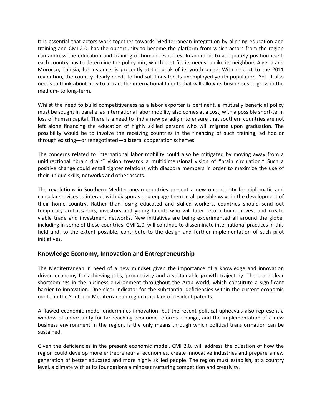It is essential that actors work together towards Mediterranean integration by aligning education and training and CMI 2.0. has the opportunity to become the platform from which actors from the region can address the education and training of human resources. In addition, to adequately position itself, each country has to determine the policy-mix, which best fits its needs: unlike its neighbors Algeria and Morocco, Tunisia, for instance, is presently at the peak of its youth bulge. With respect to the 2011 revolution, the country clearly needs to find solutions for its unemployed youth population. Yet, it also needs to think about how to attract the international talents that will allow its businesses to grow in the medium- to long-term.

Whilst the need to build competitiveness as a labor exporter is pertinent, a mutually beneficial policy must be sought in parallel as international labor mobility also comes at a cost, with a possible short-term loss of human capital. There is a need to find a new paradigm to ensure that southern countries are not left alone financing the education of highly skilled persons who will migrate upon graduation. The possibility would be to involve the receiving countries in the financing of such training, ad hoc or through existing—or renegotiated—bilateral cooperation schemes.

The concerns related to international labor mobility could also be mitigated by moving away from a unidirectional "brain drain" vision towards a multidimensional vision of "brain circulation." Such a positive change could entail tighter relations with diaspora members in order to maximize the use of their unique skills, networks and other assets.

The revolutions in Southern Mediterranean countries present a new opportunity for diplomatic and consular services to interact with diasporas and engage them in all possible ways in the development of their home country. Rather than losing educated and skilled workers, countries should send out temporary ambassadors, investors and young talents who will later return home, invest and create viable trade and investment networks. New initiatives are being experimented all around the globe, including in some of these countries. CMI 2.0. will continue to disseminate international practices in this field and, to the extent possible, contribute to the design and further implementation of such pilot initiatives.

#### **Knowledge Economy, Innovation and Entrepreneurship**

The Mediterranean in need of a new mindset given the importance of a knowledge and innovation driven economy for achieving jobs, productivity and a sustainable growth trajectory. There are clear shortcomings in the business environment throughout the Arab world, which constitute a significant barrier to innovation. One clear indicator for the substantial deficiencies within the current economic model in the Southern Mediterranean region is its lack of resident patents.

A flawed economic model undermines innovation, but the recent political upheavals also represent a window of opportunity for far-reaching economic reforms. Change, and the implementation of a new business environment in the region, is the only means through which political transformation can be sustained.

Given the deficiencies in the present economic model, CMI 2.0. will address the question of how the region could develop more entrepreneurial economies, create innovative industries and prepare a new generation of better educated and more highly skilled people. The region must establish, at a country level, a climate with at its foundations a mindset nurturing competition and creativity.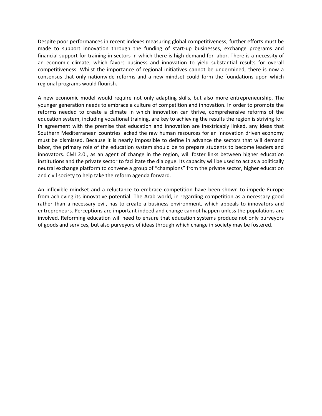Despite poor performances in recent indexes measuring global competitiveness, further efforts must be made to support innovation through the funding of start-up businesses, exchange programs and financial support for training in sectors in which there is high demand for labor. There is a necessity of an economic climate, which favors business and innovation to yield substantial results for overall competitiveness. Whilst the importance of regional initiatives cannot be undermined, there is now a consensus that only nationwide reforms and a new mindset could form the foundations upon which regional programs would flourish.

A new economic model would require not only adapting skills, but also more entrepreneurship. The younger generation needs to embrace a culture of competition and innovation. In order to promote the reforms needed to create a climate in which innovation can thrive, comprehensive reforms of the education system, including vocational training, are key to achieving the results the region is striving for. In agreement with the premise that education and innovation are inextricably linked, any ideas that Southern Mediterranean countries lacked the raw human resources for an innovation driven economy must be dismissed. Because it is nearly impossible to define in advance the sectors that will demand labor, the primary role of the education system should be to prepare students to become leaders and innovators. CMI 2.0., as an agent of change in the region, will foster links between higher education institutions and the private sector to facilitate the dialogue. Its capacity will be used to act as a politically neutral exchange platform to convene a group of "champions" from the private sector, higher education and civil society to help take the reform agenda forward.

An inflexible mindset and a reluctance to embrace competition have been shown to impede Europe from achieving its innovative potential. The Arab world, in regarding competition as a necessary good rather than a necessary evil, has to create a business environment, which appeals to innovators and entrepreneurs. Perceptions are important indeed and change cannot happen unless the populations are involved. Reforming education will need to ensure that education systems produce not only purveyors of goods and services, but also purveyors of ideas through which change in society may be fostered.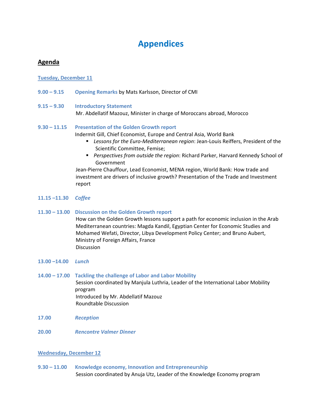## **Appendices**

#### **Agenda**

#### **Tuesday, December 11**

**9.00 – 9.15 Opening Remarks** by Mats Karlsson, Director of CMI

#### **9.15 – 9.30 Introductory Statement** Mr. Abdellatif Mazouz, Minister in charge of Moroccans abroad, Morocco

#### **9.30 – 11.15 Presentation of the Golden Growth report**

Indermit Gill, Chief Economist, Europe and Central Asia, World Bank

- *Lessons for the Euro-Mediterranean region*: Jean-Louis Reiffers, President of the Scientific Committee, Femise;
- *Perspectives from outside the region*: Richard Parker, Harvard Kennedy School of Government

Jean-Pierre Chauffour, Lead Economist, MENA region, World Bank: How trade and investment are drivers of inclusive growth? Presentation of the Trade and Investment report

- **11.15 –11.30** *Coffee*
- **11.30 – 13.00 Discussion on the Golden Growth report**

How can the Golden Growth lessons support a path for economic inclusion in the Arab Mediterranean countries: Magda Kandil, Egyptian Center for Economic Studies and Mohamed Wefati, Director, Libya Development Policy Center; and Bruno Aubert, Ministry of Foreign Affairs, France Discussion

- **13.00 –14.00** *Lunch*
- **14.00 – 17.00 Tackling the challenge of Labor and Labor Mobility** Session coordinated by Manjula Luthria, Leader of the International Labor Mobility program Introduced by Mr. Abdellatif Mazouz Roundtable Discussion
- **17.00** *Reception*
- **20.00** *Rencontre Valmer Dinner*

#### **Wednesday, December 12**

**9.30 – 11.00 Knowledge economy, Innovation and Entrepreneurship** Session coordinated by Anuja Utz, Leader of the Knowledge Economy program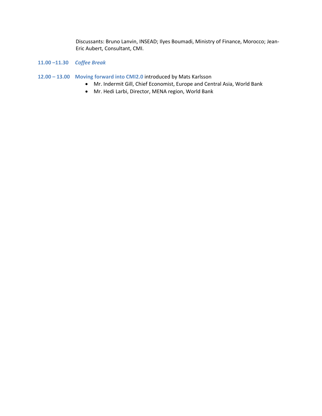Discussants: Bruno Lanvin, INSEAD; Ilyes Boumadi, Ministry of Finance, Morocco; Jean-Eric Aubert, Consultant, CMI.

#### **11.00 –11.30** *Coffee Break*

- **12.00 – 13.00 Moving forward into CMI2.0** introduced by Mats Karlsson
	- Mr. Indermit Gill, Chief Economist, Europe and Central Asia, World Bank
	- Mr. Hedi Larbi, Director, MENA region, World Bank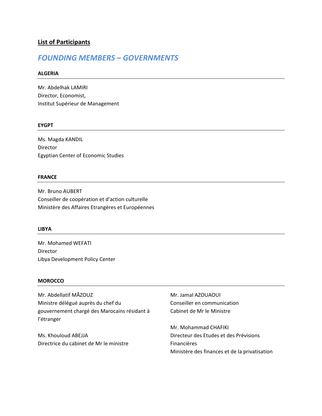#### **List of Participants**

## *FOUNDING MEMBERS – GOVERNMENTS*

#### **ALGERIA**

Mr. Abdelhak LAMIRI Director, Economist, Institut Supérieur de Management

#### **EYGPT**

Ms. Magda KANDIL Director Egyptian Center of Economic Studies

#### **FRANCE**

Mr. Bruno AUBERT Conseiller de coopération et d'action culturelle Ministère des Affaires Etrangères et Européennes

#### **LIBYA**

Mr. Mohamed WEFATI Director Libya Development Policy Center

#### **MOROCCO**

Mr. Abdellatif MÂZOUZ Ministre délégué auprès du chef du gouvernement chargé des Marocains résidant à l'étranger

Ms. Khouloud ABEJJA Directrice du cabinet de Mr le ministre

Mr. Jamal AZOUAOUI Conseiller en communication Cabinet de Mr le Ministre

Mr. Mohammad CHAFIKI Directeur des Etudes et des Prévisions Financières Ministère des finances et de la privatisation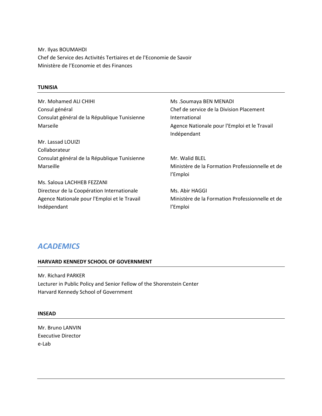Mr. Ilyas BOUMAHDI Chef de Service des Activités Tertiaires et de l'Economie de Savoir Ministère de l'Economie et des Finances

#### **TUNISIA**

| Mr. Mohamed ALI CHIHI                        | Ms .Soumaya BEN MENADI                          |
|----------------------------------------------|-------------------------------------------------|
| Consul général                               | Chef de service de la Division Placement        |
| Consulat général de la République Tunisienne | International                                   |
| Marseile                                     | Agence Nationale pour l'Emploi et le Travail    |
|                                              | Indépendant                                     |
| Mr. Lassad LOUIZI                            |                                                 |
| Collaborateur                                |                                                 |
| Consulat général de la République Tunisienne | Mr. Walid BLEL                                  |
| Marseille                                    | Ministère de la Formation Professionnelle et de |
|                                              | l'Emploi                                        |
| Ms. Saloua LACHHEB FEZZANI                   |                                                 |
| Directeur de la Coopération Internationale   | Ms. Abir HAGGI                                  |
| Agence Nationale pour l'Emploi et le Travail | Ministère de la Formation Professionnelle et de |
| Indépendant                                  | l'Emploi                                        |

## *ACADEMICS*

#### **HARVARD KENNEDY SCHOOL OF GOVERNMENT**

Mr. Richard PARKER Lecturer in Public Policy and Senior Fellow of the Shorenstein Center Harvard Kennedy School of Government

#### **INSEAD**

Mr. Bruno LANVIN Executive Director e-Lab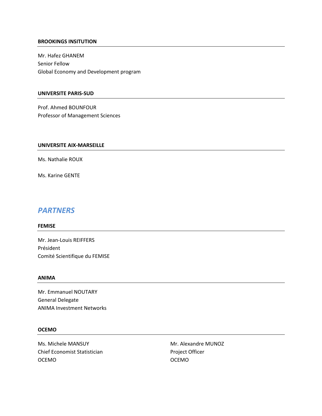#### **BROOKINGS INSITUTION**

Mr. Hafez GHANEM Senior Fellow Global Economy and Development program

#### **UNIVERSITE PARIS-SUD**

Prof. Ahmed BOUNFOUR Professor of Management Sciences

#### **UNIVERSITE AIX-MARSEILLE**

Ms. Nathalie ROUX

Ms. Karine GENTE

### *PARTNERS*

#### **FEMISE**

Mr. Jean-Louis REIFFERS Président Comité Scientifique du FEMISE

#### **ANIMA**

Mr. Emmanuel NOUTARY General Delegate ANIMA Investment Networks

#### **OCEMO**

Ms. Michele MANSUY Chief Economist Statistician OCEMO

Mr. Alexandre MUNOZ Project Officer OCEMO